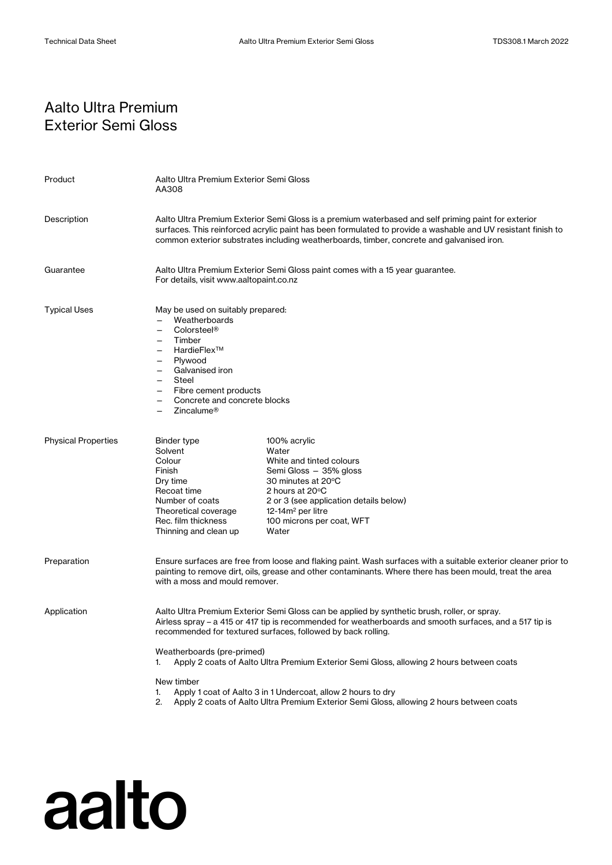## Aalto Ultra Premium Exterior Semi Gloss

| Product                    | Aalto Ultra Premium Exterior Semi Gloss<br>AA308                                                                                                                                                                                                                                                                                                 |                                                                                                                                                                                                                              |
|----------------------------|--------------------------------------------------------------------------------------------------------------------------------------------------------------------------------------------------------------------------------------------------------------------------------------------------------------------------------------------------|------------------------------------------------------------------------------------------------------------------------------------------------------------------------------------------------------------------------------|
| Description                | Aalto Ultra Premium Exterior Semi Gloss is a premium waterbased and self priming paint for exterior<br>surfaces. This reinforced acrylic paint has been formulated to provide a washable and UV resistant finish to<br>common exterior substrates including weatherboards, timber, concrete and galvanised iron.                                 |                                                                                                                                                                                                                              |
| Guarantee                  | Aalto Ultra Premium Exterior Semi Gloss paint comes with a 15 year guarantee.<br>For details, visit www.aaltopaint.co.nz                                                                                                                                                                                                                         |                                                                                                                                                                                                                              |
| <b>Typical Uses</b>        | May be used on suitably prepared:<br>Weatherboards<br>Colorsteel <sup>®</sup><br>$\overline{\phantom{0}}$<br>Timber<br>HardieFlex™<br>$\overline{\phantom{0}}$<br>Plywood<br>Galvanised iron<br>$\overline{\phantom{0}}$<br>Steel<br>$\overline{\phantom{0}}$<br>Fibre cement products<br>Concrete and concrete blocks<br>Zincalume <sup>®</sup> |                                                                                                                                                                                                                              |
| <b>Physical Properties</b> | Binder type<br>Solvent<br>Colour<br>Finish<br>Dry time<br>Recoat time<br>Number of coats<br>Theoretical coverage<br>Rec. film thickness<br>Thinning and clean up                                                                                                                                                                                 | 100% acrylic<br>Water<br>White and tinted colours<br>Semi Gloss - 35% gloss<br>30 minutes at 20°C<br>2 hours at 20°C<br>2 or 3 (see application details below)<br>12-14 $m2$ per litre<br>100 microns per coat, WFT<br>Water |
| Preparation                | Ensure surfaces are free from loose and flaking paint. Wash surfaces with a suitable exterior cleaner prior to<br>painting to remove dirt, oils, grease and other contaminants. Where there has been mould, treat the area<br>with a moss and mould remover.                                                                                     |                                                                                                                                                                                                                              |
| Application                | Aalto Ultra Premium Exterior Semi Gloss can be applied by synthetic brush, roller, or spray.<br>Airless spray - a 415 or 417 tip is recommended for weatherboards and smooth surfaces, and a 517 tip is<br>recommended for textured surfaces, followed by back rolling.<br>Weatherboards (pre-primed)                                            |                                                                                                                                                                                                                              |
|                            | 1.<br>New timber<br>1.                                                                                                                                                                                                                                                                                                                           | Apply 2 coats of Aalto Ultra Premium Exterior Semi Gloss, allowing 2 hours between coats<br>Apply 1 coat of Aalto 3 in 1 Undercoat, allow 2 hours to dry                                                                     |

2. Apply 2 coats of Aalto Ultra Premium Exterior Semi Gloss, allowing 2 hours between coats

# aalto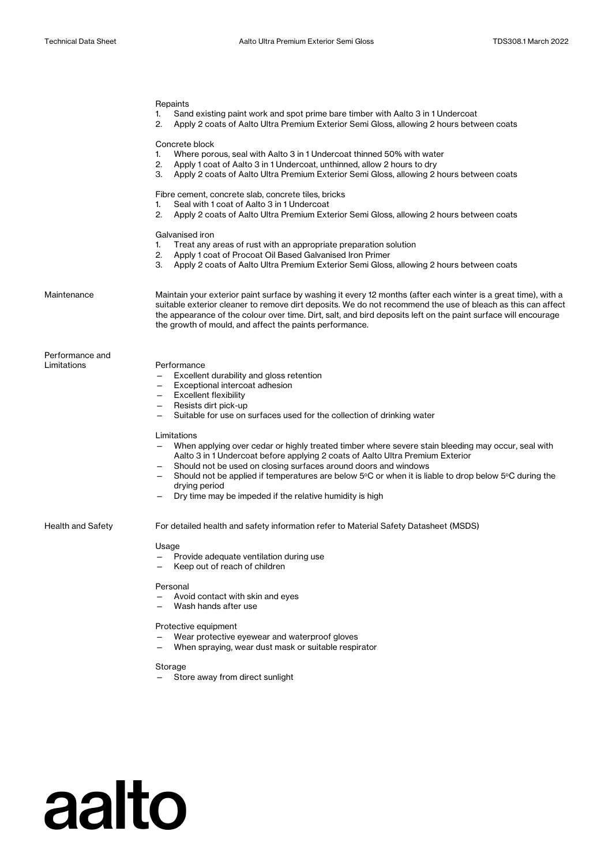## Repaints 1. Sand existing paint work and spot prime bare timber with Aalto 3 in 1 Undercoat 2. Apply 2 coats of Aalto Ultra Premium Exterior Semi Gloss, allowing 2 hours between coats Concrete block 1. Where porous, seal with Aalto 3 in 1 Undercoat thinned 50% with water 2. Apply 1 coat of Aalto 3 in 1 Undercoat, unthinned, allow 2 hours to dry 3. Apply 2 coats of Aalto Ultra Premium Exterior Semi Gloss, allowing 2 hours between coats Fibre cement, concrete slab, concrete tiles, bricks 1. Seal with 1 coat of Aalto 3 in 1 Undercoat 2. Apply 2 coats of Aalto Ultra Premium Exterior Semi Gloss, allowing 2 hours between coats Galvanised iron 1. Treat any areas of rust with an appropriate preparation solution 2. Apply 1 coat of Procoat Oil Based Galvanised Iron Primer 3. Apply 2 coats of Aalto Ultra Premium Exterior Semi Gloss, allowing 2 hours between coats Maintenance Maintain your exterior paint surface by washing it every 12 months (after each winter is a great time), with a suitable exterior cleaner to remove dirt deposits. We do not recommend the use of bleach as this can affect the appearance of the colour over time. Dirt, salt, and bird deposits left on the paint surface will encourage the growth of mould, and affect the paints performance. Performance and Limitations Performance — Excellent durability and gloss retention — Exceptional intercoat adhesion — Excellent flexibility — Resists dirt pick-up — Suitable for use on surfaces used for the collection of drinking water Limitations — When applying over cedar or highly treated timber where severe stain bleeding may occur, seal with Aalto 3 in 1 Undercoat before applying 2 coats of Aalto Ultra Premium Exterior Should not be used on closing surfaces around doors and windows  $-$  Should not be applied if temperatures are below 5°C or when it is liable to drop below 5°C during the drying period Dry time may be impeded if the relative humidity is high Health and Safety **For detailed health and safety information refer to Material Safety Datasheet (MSDS)** Usage — Provide adequate ventilation during use Keep out of reach of children Personal — Avoid contact with skin and eyes — Wash hands after use Protective equipment Wear protective eyewear and waterproof gloves

— When spraying, wear dust mask or suitable respirator

### **Storage**

aalto

— Store away from direct sunlight